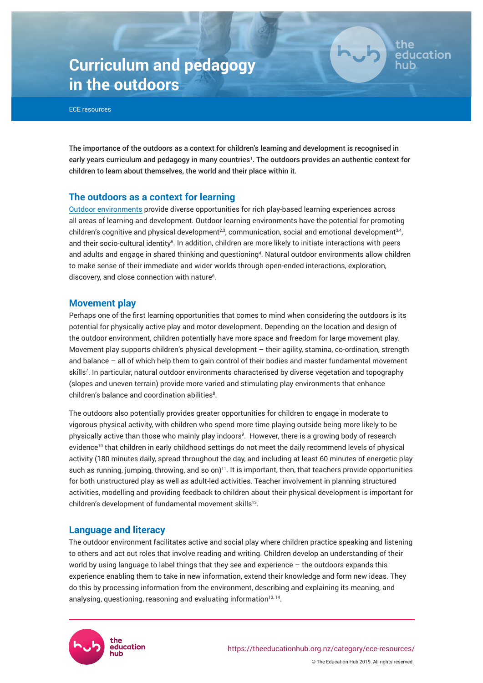# **Curriculum and pedagogy in the outdoors**



The importance of the outdoors as a context for children's learning and development is recognised in early years curriculum and pedagogy in many countries<sup>1</sup>. The outdoors provides an authentic context for children to learn about themselves, the world and their place within it.

the

education

# **The outdoors as a context for learning**

[Outdoor environments](https://theeducationhub.org.nz/outdoor-learning-environments-in-ece/) provide diverse opportunities for rich play-based learning experiences across all areas of learning and development. Outdoor learning environments have the potential for promoting children's cognitive and physical development $^{2,3}$ , communication, social and emotional development $^{3,4}$ , and their socio-cultural identity<sup>5</sup>. In addition, children are more likely to initiate interactions with peers and adults and engage in shared thinking and questioning<sup>4</sup>. Natural outdoor environments allow children to make sense of their immediate and wider worlds through open-ended interactions, exploration, discovery, and close connection with nature<sup>6</sup>.

# **Movement play**

Perhaps one of the first learning opportunities that comes to mind when considering the outdoors is its potential for physically active play and motor development. Depending on the location and design of the outdoor environment, children potentially have more space and freedom for large movement play. Movement play supports children's physical development – their agility, stamina, co-ordination, strength and balance – all of which help them to gain control of their bodies and master fundamental movement skills<sup>7</sup> . In particular, natural outdoor environments characterised by diverse vegetation and topography (slopes and uneven terrain) provide more varied and stimulating play environments that enhance  $children's balance$  and coordination abilities $8$ .

The outdoors also potentially provides greater opportunities for children to engage in moderate to vigorous physical activity, with children who spend more time playing outside being more likely to be physically active than those who mainly play indoors<sup>9</sup>. However, there is a growing body of research evidence<sup>10</sup> that children in early childhood settings do not meet the daily recommend levels of physical activity (180 minutes daily, spread throughout the day, and including at least 60 minutes of energetic play such as running, jumping, throwing, and so on)<sup>11</sup>. It is important, then, that teachers provide opportunities for both unstructured play as well as adult-led activities. Teacher involvement in planning structured activities, modelling and providing feedback to children about their physical development is important for children's development of fundamental movement skills<sup>12</sup>.

# **Language and literacy**

The outdoor environment facilitates active and social play where children practice speaking and listening to others and act out roles that involve reading and writing. Children develop an understanding of their world by using language to label things that they see and experience – the outdoors expands this experience enabling them to take in new information, extend their knowledge and form new ideas. They do this by processing information from the environment, describing and explaining its meaning, and analysing, questioning, reasoning and evaluating information $^{13,14}$ .

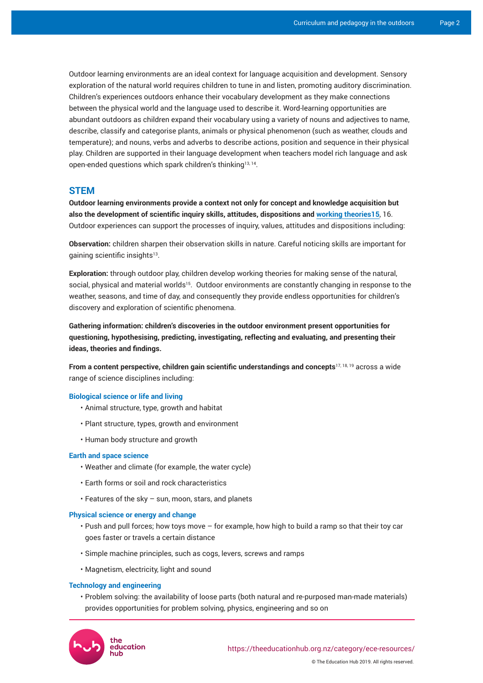Outdoor learning environments are an ideal context for language acquisition and development. Sensory exploration of the natural world requires children to tune in and listen, promoting auditory discrimination. Children's experiences outdoors enhance their vocabulary development as they make connections between the physical world and the language used to describe it. Word-learning opportunities are abundant outdoors as children expand their vocabulary using a variety of nouns and adjectives to name, describe, classify and categorise plants, animals or physical phenomenon (such as weather, clouds and temperature); and nouns, verbs and adverbs to describe actions, position and sequence in their physical play. Children are supported in their language development when teachers model rich language and ask open-ended questions which spark children's thinking13, 14 .

# **STEM**

**Outdoor learning environments provide a context not only for concept and knowledge acquisition but also the development of scientific inquiry skills, attitudes, dispositions and [working theories15](https://theeducationhub.org.nz/working-theories/)**, 16. Outdoor experiences can support the processes of inquiry, values, attitudes and dispositions including:

**Observation:** children sharpen their observation skills in nature. Careful noticing skills are important for gaining scientific insights<sup>13</sup>.

**Exploration:** through outdoor play, children develop working theories for making sense of the natural, social, physical and material worlds<sup>15</sup>. Outdoor environments are constantly changing in response to the weather, seasons, and time of day, and consequently they provide endless opportunities for children's discovery and exploration of scientific phenomena.

**Gathering information: children's discoveries in the outdoor environment present opportunities for questioning, hypothesising, predicting, investigating, reflecting and evaluating, and presenting their ideas, theories and findings.**

**From a content perspective, children gain scientific understandings and concepts**17, 18, 19 across a wide range of science disciplines including:

## **Biological science or life and living**

- Animal structure, type, growth and habitat
- Plant structure, types, growth and environment
- Human body structure and growth

## **Earth and space science**

- Weather and climate (for example, the water cycle)
- Earth forms or soil and rock characteristics
- Features of the sky sun, moon, stars, and planets

### **Physical science or energy and change**

- Push and pull forces; how toys move for example, how high to build a ramp so that their toy car goes faster or travels a certain distance
- Simple machine principles, such as cogs, levers, screws and ramps
- Magnetism, electricity, light and sound

#### **Technology and engineering**

• Problem solving: the availability of loose parts (both natural and re-purposed man-made materials) provides opportunities for problem solving, physics, engineering and so on

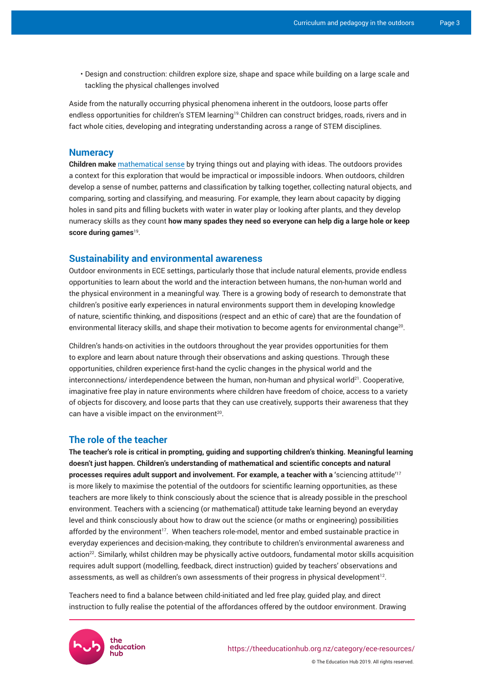• Design and construction: children explore size, shape and space while building on a large scale and tackling the physical challenges involved

Aside from the naturally occurring physical phenomena inherent in the outdoors, loose parts offer endless opportunities for children's STEM learning<sup>19</sup> Children can construct bridges, roads, rivers and in fact whole cities, developing and integrating understanding across a range of STEM disciplines.

## **Numeracy**

**Children make** [mathematical sense](https://theeducationhub.org.nz/an-introduction-to-supporting-early-maths-in-ece/) by trying things out and playing with ideas. The outdoors provides a context for this exploration that would be impractical or impossible indoors. When outdoors, children develop a sense of number, patterns and classification by talking together, collecting natural objects, and comparing, sorting and classifying, and measuring. For example, they learn about capacity by digging holes in sand pits and filling buckets with water in water play or looking after plants, and they develop numeracy skills as they count **how many spades they need so everyone can help dig a large hole or keep score during games**<sup>19</sup> .

## **Sustainability and environmental awareness**

Outdoor environments in ECE settings, particularly those that include natural elements, provide endless opportunities to learn about the world and the interaction between humans, the non-human world and the physical environment in a meaningful way. There is a growing body of research to demonstrate that children's positive early experiences in natural environments support them in developing knowledge of nature, scientific thinking, and dispositions (respect and an ethic of care) that are the foundation of environmental literacy skills, and shape their motivation to become agents for environmental change $^{20}\cdot$ 

Children's hands-on activities in the outdoors throughout the year provides opportunities for them to explore and learn about nature through their observations and asking questions. Through these opportunities, children experience first-hand the cyclic changes in the physical world and the  $intercomes/interdependence between the human, non-human and physical world<sup>21</sup>. Cooperative,$ imaginative free play in nature environments where children have freedom of choice, access to a variety of objects for discovery, and loose parts that they can use creatively, supports their awareness that they can have a visible impact on the environment $^{20}$ .

# **The role of the teacher**

**The teacher's role is critical in prompting, guiding and supporting children's thinking. Meaningful learning doesn't just happen. Children's understanding of mathematical and scientific concepts and natural processes requires adult support and involvement. For example, a teacher with a '**sciencing attitude'<sup>17</sup> is more likely to maximise the potential of the outdoors for scientific learning opportunities, as these teachers are more likely to think consciously about the science that is already possible in the preschool environment. Teachers with a sciencing (or mathematical) attitude take learning beyond an everyday level and think consciously about how to draw out the science (or maths or engineering) possibilities afforded by the environment<sup>17</sup>. When teachers role-model, mentor and embed sustainable practice in everyday experiences and decision-making, they contribute to children's environmental awareness and action<sup>22</sup>. Similarly, whilst children may be physically active outdoors, fundamental motor skills acquisition requires adult support (modelling, feedback, direct instruction) guided by teachers' observations and assessments, as well as children's own assessments of their progress in physical development $^{12}$ .

Teachers need to find a balance between child-initiated and led free play, guided play, and direct instruction to fully realise the potential of the affordances offered by the outdoor environment. Drawing



© The Education Hub 2019. All rights reserved.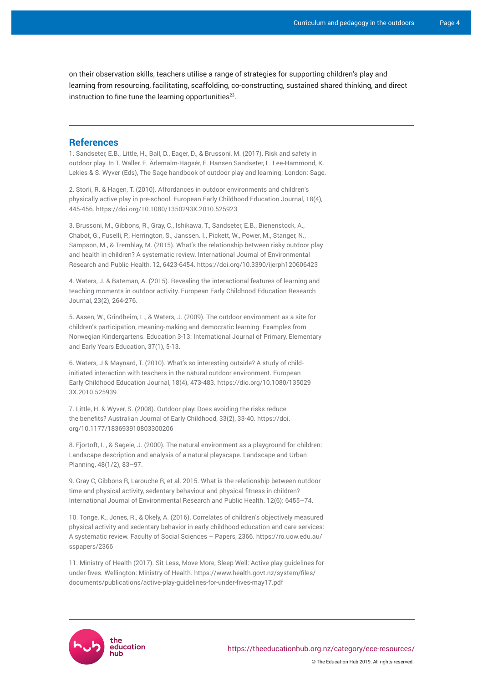on their observation skills, teachers utilise a range of strategies for supporting children's play and learning from resourcing, facilitating, scaffolding, co-constructing, sustained shared thinking, and direct instruction to fine tune the learning opportunities $^{23}$ .

## **References**

1. Sandseter, E.B., Little, H., Ball, D., Eager, D., & Brussoni, M. (2017). Risk and safety in outdoor play. In T. Waller, E. Ärlemalm-Hagsér, E. Hansen Sandseter, L. Lee-Hammond, K. Lekies & S. Wyver (Eds), The Sage handbook of outdoor play and learning. London: Sage.

2. Storli, R. & Hagen, T. (2010). Affordances in outdoor environments and children's physically active play in pre-school. European Early Childhood Education Journal, 18(4), 445-456.<https://doi.org/10.1080/1350293X.2010.525923>

3. Brussoni, M., Gibbons, R., Gray, C., Ishikawa, T., Sandseter, E.B., Bienenstock, A., Chabot, G., Fuselli, P., Herrington, S., Janssen. I., Pickett, W., Power, M., Stanger, N., Sampson, M., & Tremblay, M. (2015). What's the relationship between risky outdoor play and health in children? A systematic review. International Journal of Environmental Research and Public Health, 12, 6423-6454. <https://doi.org/10.3390/ijerph120606423>

4. Waters, J. & Bateman, A. (2015). Revealing the interactional features of learning and teaching moments in outdoor activity. European Early Childhood Education Research Journal, 23(2), 264-276.

5. Aasen, W., Grindheim, L., & Waters, J. (2009). The outdoor environment as a site for children's participation, meaning-making and democratic learning: Examples from Norwegian Kindergartens. Education 3-13: International Journal of Primary, Elementary and Early Years Education, 37(1), 5-13.

6. Waters, J & Maynard, T. (2010). What's so interesting outside? A study of childinitiated interaction with teachers in the natural outdoor environment. European Early Childhood Education Journal, 18(4), 473-483. [https://dio.org/10.1080/135029](https://dio.org/10.1080/1350293X.2010.525939) [3X.2010.525939](https://dio.org/10.1080/1350293X.2010.525939)

7. Little, H. & Wyver, S. (2008). Outdoor play: Does avoiding the risks reduce the benefits? Australian Journal of Early Childhood, 33(2), 33-40. [https://doi.](https://doi.org/10.1177%2F183693910803300206) [org/10.1177/183693910803300206](https://doi.org/10.1177%2F183693910803300206)

8. Fjortoft, I. , & Sageie, J. (2000). The natural environment as a playground for children: Landscape description and analysis of a natural playscape. Landscape and Urban Planning, 48(1/2), 83–97.

9. Gray C, Gibbons R, Larouche R, et al. 2015. What is the relationship between outdoor time and physical activity, sedentary behaviour and physical fitness in children? International Journal of Environmental Research and Public Health. 12(6): 6455–74.

10. Tonge, K., Jones, R., & Okely, A. (2016). Correlates of children's objectively measured physical activity and sedentary behavior in early childhood education and care services: A systematic review. Faculty of Social Sciences – Papers, 2366. [https://ro.uow.edu.au/](https://ro.uow.edu.au/sspapers/2366) [sspapers/2366](https://ro.uow.edu.au/sspapers/2366)

11. Ministry of Health (2017). Sit Less, Move More, Sleep Well: Active play guidelines for under-fives. Wellington: Ministry of Health. [https://www.health.govt.nz/system/files/](https://www.health.govt.nz/system/files/documents/publications/active-play-guidelines-for-under-fives-may17.pdf) [documents/publications/active-play-guidelines-for-under-fives-may17.pdf](https://www.health.govt.nz/system/files/documents/publications/active-play-guidelines-for-under-fives-may17.pdf)



© The Education Hub 2019. All rights reserved.